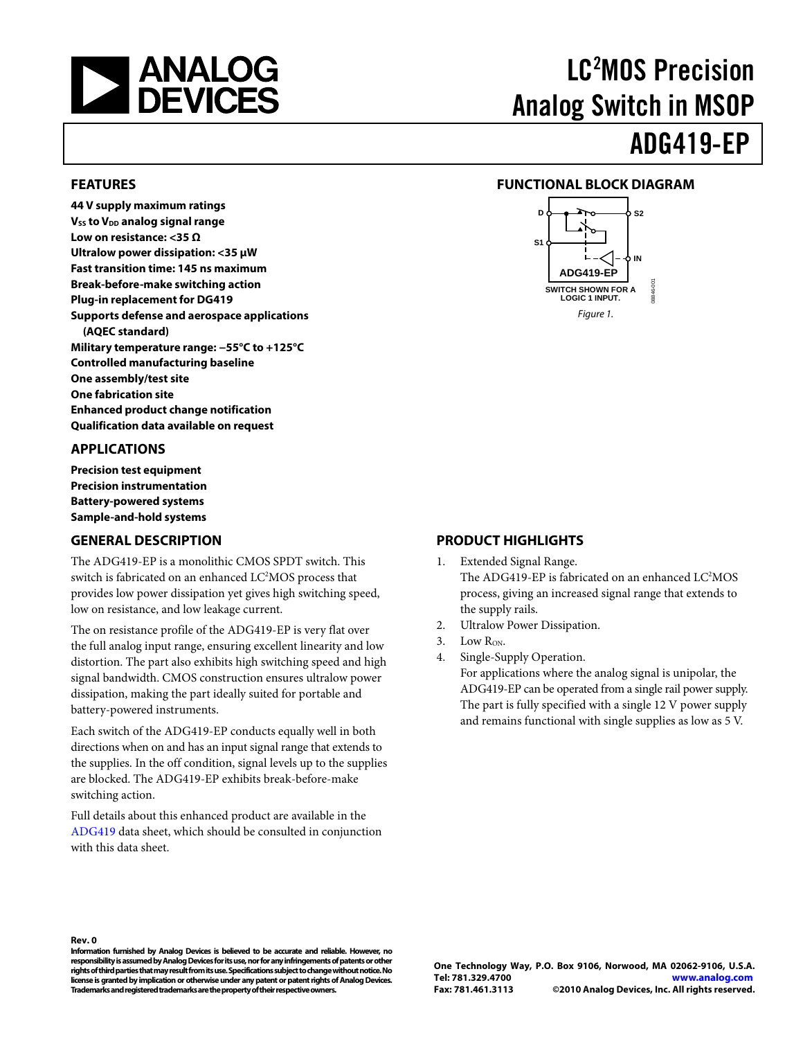<span id="page-0-0"></span>

# LC2 MOS Precision Analog Switch in MSOP

ADG419-EP

#### **FEATURES**

**44 V supply maximum ratings V<sub>ss</sub> to V<sub>DD</sub> analog signal range Low on resistance: <35 Ω Ultralow power dissipation: <35 μW Fast transition time: 145 ns maximum Break-before-make switching action Plug-in replacement for DG419 Supports defense and aerospace applications (AQEC standard) Military temperature range: −55°C to +125°C Controlled manufacturing baseline One assembly/test site One fabrication site Enhanced product change notification Qualification data available on request** 

#### **APPLICATIONS**

**Precision test equipment Precision instrumentation Battery-powered systems Sample-and-hold systems** 

#### **GENERAL DESCRIPTION**

The ADG419-EP is a monolithic CMOS SPDT switch. This switch is fabricated on an enhanced LC<sup>2</sup>MOS process that provides low power dissipation yet gives high switching speed, low on resistance, and low leakage current.

The on resistance profile of the ADG419-EP is very flat over the full analog input range, ensuring excellent linearity and low distortion. The part also exhibits high switching speed and high signal bandwidth. CMOS construction ensures ultralow power dissipation, making the part ideally suited for portable and battery-powered instruments.

Each switch of the ADG419-EP conducts equally well in both directions when on and has an input signal range that extends to the supplies. In the off condition, signal levels up to the supplies are blocked. The ADG419-EP exhibits break-before-make switching action.

Full details about this enhanced product are available in the [ADG419](http://www.analog.com/ADG419) data sheet, which should be consulted in conjunction with this data sheet.

#### **FUNCTIONAL BLOCK DIAGRAM**



#### **PRODUCT HIGHLIGHTS**

- 1. Extended Signal Range. The ADG419-EP is fabricated on an enhanced LC<sup>2</sup>MOS process, giving an increased signal range that extends to the supply rails.
- 2. Ultralow Power Dissipation.
- 3. Low  $R_{ON}$ .
- 4. Single-Supply Operation.

For applications where the analog signal is unipolar, the ADG419-EP can be operated from a single rail power supply. The part is fully specified with a single 12 V power supply and remains functional with single supplies as low as 5 V.

**Rev. 0** 

**Information furnished by Analog Devices is believed to be accurate and reliable. However, no responsibility is assumed by Analog Devices for its use, nor for any infringements of patents or other rights of third parties that may result from its use. Specifications subject to change without notice. No license is granted by implication or otherwise under any patent or patent rights of Analog Devices. Trademarks and registered trademarks are the property of their respective owners.**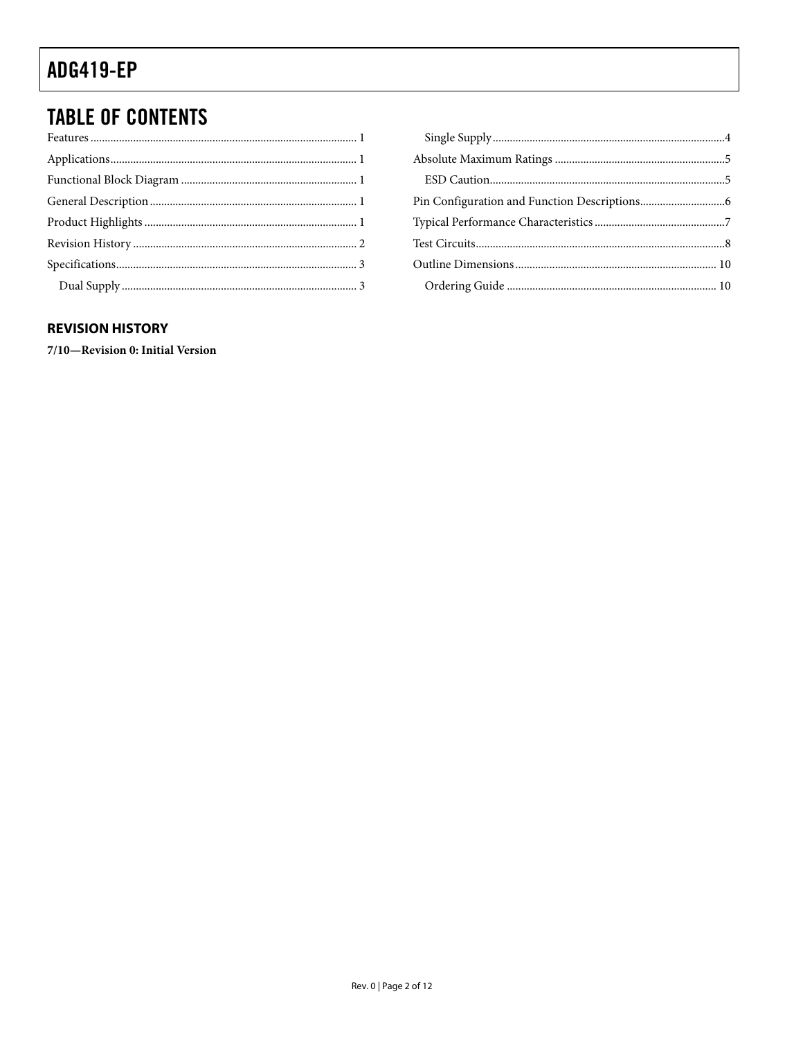### <span id="page-1-0"></span>**TABLE OF CONTENTS**

#### **REVISION HISTORY**

7/10-Revision 0: Initial Version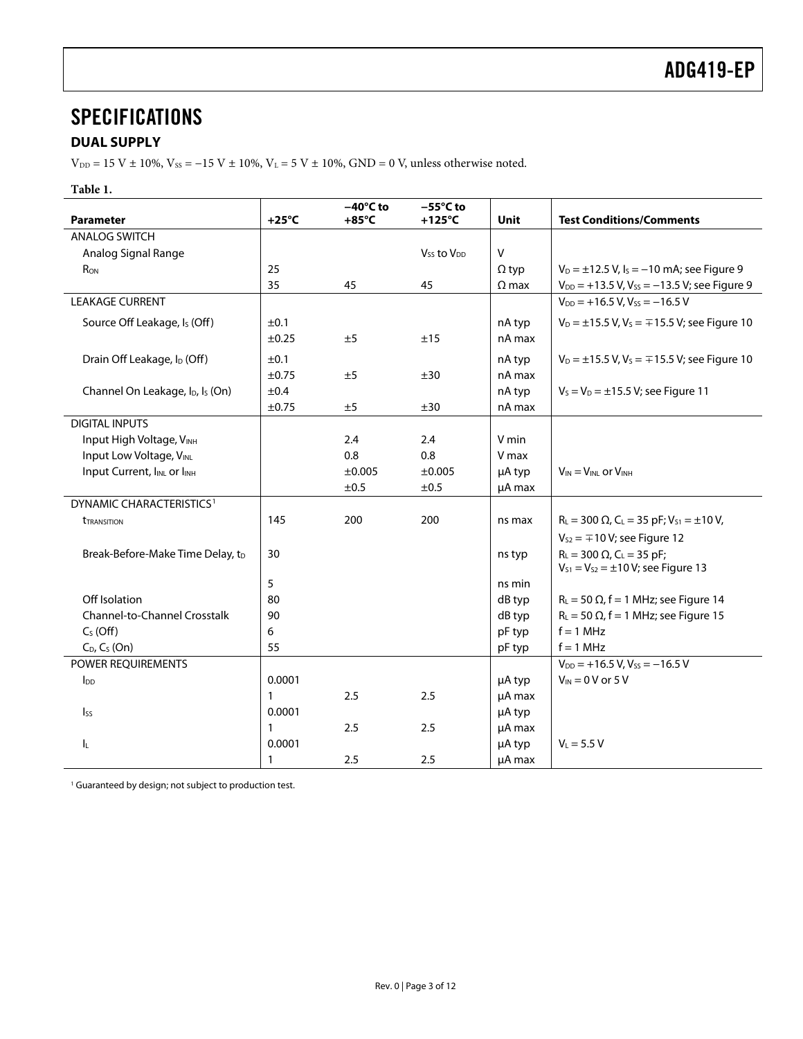### <span id="page-2-0"></span>**SPECIFICATIONS**

#### **DUAL SUPPLY**

 $\rm{V_{\rm DD}}$  = 15 V  $\pm$  10%, V $\rm{_{SS}}$  = –15 V  $\pm$  10%, V $\rm{_{L}}$  = 5 V  $\pm$  10%, GND = 0 V, unless otherwise noted.

#### **Table 1.**

| <b>Parameter</b>                                         | $+25^{\circ}$ C | $-40^{\circ}$ C to<br>$+85^{\circ}$ C | $-55^{\circ}$ C to<br>$+125^{\circ}$ C | <b>Unit</b>  | <b>Test Conditions/Comments</b>                                                              |
|----------------------------------------------------------|-----------------|---------------------------------------|----------------------------------------|--------------|----------------------------------------------------------------------------------------------|
| <b>ANALOG SWITCH</b>                                     |                 |                                       |                                        |              |                                                                                              |
| Analog Signal Range                                      |                 |                                       | $V_{SS}$ to $V_{DD}$                   | ${\sf V}$    |                                                                                              |
| R <sub>ON</sub>                                          | 25              |                                       |                                        | $\Omega$ typ | $V_D = \pm 12.5$ V, $I_S = -10$ mA; see Figure 9                                             |
|                                                          | 35              | 45                                    | 45                                     | $\Omega$ max | $V_{DD}$ = +13.5 V, V <sub>ss</sub> = -13.5 V; see Figure 9                                  |
| <b>LEAKAGE CURRENT</b>                                   |                 |                                       |                                        |              | $V_{DD}$ = +16.5 V, V <sub>ss</sub> = -16.5 V                                                |
| Source Off Leakage, I <sub>s</sub> (Off)                 | $\pm 0.1$       |                                       |                                        | nA typ       | $V_D = \pm 15.5$ V, V <sub>s</sub> = $\mp 15.5$ V; see Figure 10                             |
|                                                          | ±0.25           | ±5                                    | ±15                                    | nA max       |                                                                                              |
| Drain Off Leakage, I <sub>D</sub> (Off)                  | ±0.1            |                                       |                                        | nA typ       | $V_D = \pm 15.5$ V, V <sub>s</sub> = $\mp 15.5$ V; see Figure 10                             |
|                                                          | ±0.75           | ±5                                    | ±30                                    | nA max       |                                                                                              |
| Channel On Leakage, I <sub>D</sub> , I <sub>s</sub> (On) | ±0.4            |                                       |                                        | nA typ       | $V_S = V_D = \pm 15.5 V$ ; see Figure 11                                                     |
|                                                          | $\pm 0.75$      | ±5                                    | ±30                                    | nA max       |                                                                                              |
| <b>DIGITAL INPUTS</b>                                    |                 |                                       |                                        |              |                                                                                              |
| Input High Voltage, VINH                                 |                 | 2.4                                   | 2.4                                    | V min        |                                                                                              |
| Input Low Voltage, VINL                                  |                 | 0.8                                   | 0.8                                    | V max        |                                                                                              |
| Input Current, IINL or IINH                              |                 | ±0.005                                | ±0.005                                 | µA typ       | $V_{IN} = V_{INL}$ or $V_{INH}$                                                              |
|                                                          |                 | ±0.5                                  | ±0.5                                   | µA max       |                                                                                              |
| DYNAMIC CHARACTERISTICS <sup>1</sup>                     |                 |                                       |                                        |              |                                                                                              |
| <b><i>TRANSITION</i></b>                                 | 145             | 200                                   | 200                                    | ns max       | $R_L = 300 \Omega$ , C <sub>L</sub> = 35 pF; V <sub>S1</sub> = ±10 V,                        |
|                                                          |                 |                                       |                                        |              | $V_{S2} = \mp 10 V$ ; see Figure 12                                                          |
| Break-Before-Make Time Delay, tD                         | 30              |                                       |                                        | ns typ       | $R_L = 300 \Omega$ , C <sub>L</sub> = 35 pF;<br>$V_{S1} = V_{S2} = \pm 10 V$ ; see Figure 13 |
|                                                          | 5               |                                       |                                        | ns min       |                                                                                              |
| Off Isolation                                            | 80              |                                       |                                        | dB typ       | $R_L$ = 50 $\Omega$ , f = 1 MHz; see Figure 14                                               |
| Channel-to-Channel Crosstalk                             | 90              |                                       |                                        | dB typ       | $R_L$ = 50 $\Omega$ , f = 1 MHz; see Figure 15                                               |
| $C_S(Off)$                                               | 6               |                                       |                                        | pF typ       | $f = 1$ MHz                                                                                  |
| $C_D$ , $C_S$ (On)                                       | 55              |                                       |                                        | pF typ       | $f = 1$ MHz                                                                                  |
| POWER REQUIREMENTS                                       |                 |                                       |                                        |              | $V_{DD}$ = +16.5 V, V <sub>ss</sub> = -16.5 V                                                |
| $I_{DD}$                                                 | 0.0001          |                                       |                                        | µA typ       | $V_{IN}$ = 0 V or 5 V                                                                        |
|                                                          | $\mathbf{1}$    | 2.5                                   | 2.5                                    | µA max       |                                                                                              |
| $\mathsf{lss}$                                           | 0.0001          |                                       |                                        | µA typ       |                                                                                              |
|                                                          | $\mathbf{1}$    | 2.5                                   | 2.5                                    | µA max       |                                                                                              |
| I <sub>L</sub>                                           | 0.0001          |                                       |                                        | µA typ       | $V_L = 5.5 V$                                                                                |
|                                                          | $\mathbf{1}$    | 2.5                                   | 2.5                                    | µA max       |                                                                                              |

<sup>1</sup> Guaranteed by design; not subject to production test.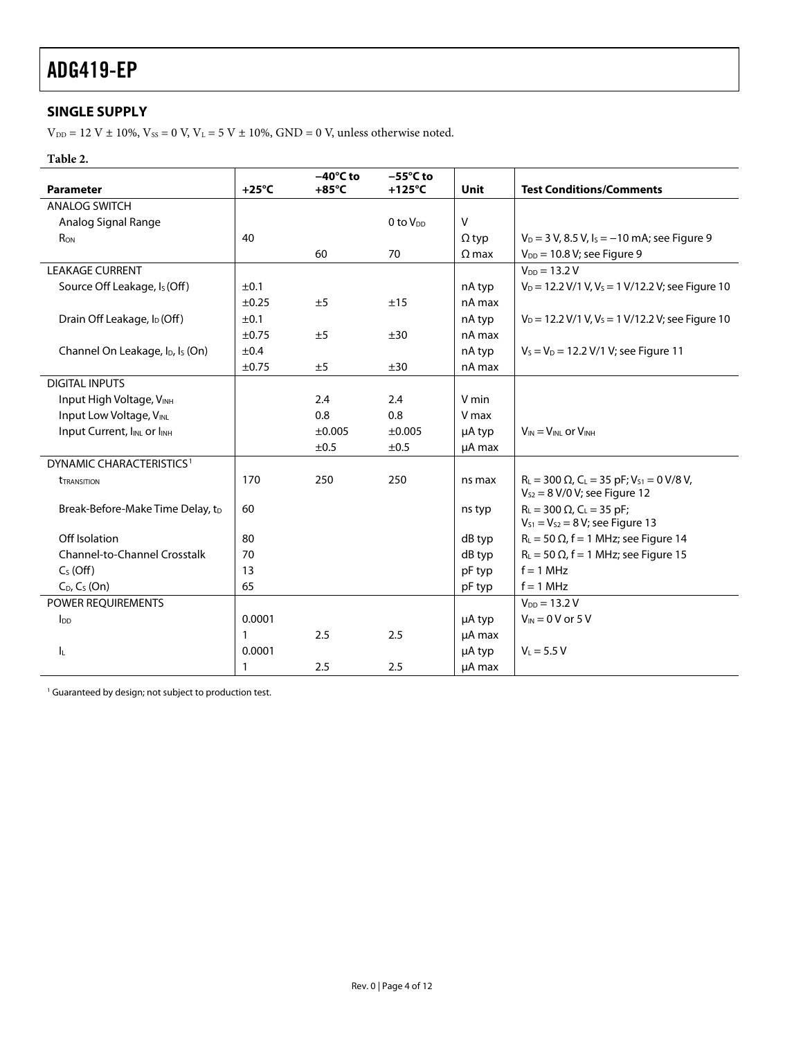#### <span id="page-3-0"></span>**SINGLE SUPPLY**

 $\rm V_{\rm DD}$  = 12 V  $\pm$  10%, Vss = 0 V, V $\rm L$  = 5 V  $\pm$  10%, GND = 0 V, unless otherwise noted.

#### **Table 2.**

|                                                          |                 | $-40^{\circ}$ C to | $-55^{\circ}$ C to   |              |                                                                                                                   |
|----------------------------------------------------------|-----------------|--------------------|----------------------|--------------|-------------------------------------------------------------------------------------------------------------------|
| <b>Parameter</b>                                         | $+25^{\circ}$ C | $+85^{\circ}$ C    | $+125^{\circ}$ C     | <b>Unit</b>  | <b>Test Conditions/Comments</b>                                                                                   |
| <b>ANALOG SWITCH</b>                                     |                 |                    |                      |              |                                                                                                                   |
| Analog Signal Range                                      |                 |                    | 0 to V <sub>DD</sub> | $\vee$       |                                                                                                                   |
| $R_{ON}$                                                 | 40              |                    |                      | $\Omega$ typ | $V_D = 3 V$ , 8.5 V, $I_S = -10$ mA; see Figure 9                                                                 |
|                                                          |                 | 60                 | 70                   | $\Omega$ max | $V_{DD} = 10.8 V$ ; see Figure 9                                                                                  |
| <b>LEAKAGE CURRENT</b>                                   |                 |                    |                      |              | $V_{DD} = 13.2 V$                                                                                                 |
| Source Off Leakage, Is (Off)                             | ±0.1            |                    |                      | nA typ       | $V_D$ = 12.2 V/1 V, V <sub>s</sub> = 1 V/12.2 V; see Figure 10                                                    |
|                                                          | $\pm 0.25$      | ±5                 | ±15                  | nA max       |                                                                                                                   |
| Drain Off Leakage, I <sub>D</sub> (Off)                  | ±0.1            |                    |                      | nA typ       | $V_D$ = 12.2 V/1 V, V <sub>s</sub> = 1 V/12.2 V; see Figure 10                                                    |
|                                                          | $\pm 0.75$      | ±5                 | ±30                  | nA max       |                                                                                                                   |
| Channel On Leakage, I <sub>D</sub> , I <sub>s</sub> (On) | ±0.4            |                    |                      | nA typ       | $V_S = V_D = 12.2 V/1 V$ ; see Figure 11                                                                          |
|                                                          | $\pm 0.75$      | ±5                 | ±30                  | nA max       |                                                                                                                   |
| <b>DIGITAL INPUTS</b>                                    |                 |                    |                      |              |                                                                                                                   |
| Input High Voltage, VINH                                 |                 | 2.4                | 2.4                  | V min        |                                                                                                                   |
| Input Low Voltage, VINL                                  |                 | 0.8                | 0.8                  | V max        |                                                                                                                   |
| Input Current, IINL or IINH                              |                 | ±0.005             | ±0.005               | µA typ       | $V_{IN} = V_{INL}$ or $V_{INH}$                                                                                   |
|                                                          |                 | ±0.5               | ±0.5                 | µA max       |                                                                                                                   |
| DYNAMIC CHARACTERISTICS <sup>1</sup>                     |                 |                    |                      |              |                                                                                                                   |
| <b><i>TRANSITION</i></b>                                 | 170             | 250                | 250                  | ns max       | $R_{L}$ = 300 $\Omega$ , C <sub>L</sub> = 35 pF; V <sub>S1</sub> = 0 V/8 V,<br>$V_{S2} = 8 V/0 V$ ; see Figure 12 |
| Break-Before-Make Time Delay, t <sub>D</sub>             | 60              |                    |                      | ns typ       | $R_L = 300 \Omega$ , C <sub>L</sub> = 35 pF;<br>$V_{S1} = V_{S2} = 8 V$ ; see Figure 13                           |
| Off Isolation                                            | 80              |                    |                      | dB typ       | $R_L$ = 50 $\Omega$ , f = 1 MHz; see Figure 14                                                                    |
| Channel-to-Channel Crosstalk                             | 70              |                    |                      | dB typ       | $R_L$ = 50 $\Omega$ , f = 1 MHz; see Figure 15                                                                    |
| $CS$ (Off)                                               | 13              |                    |                      | pF typ       | $f = 1$ MHz                                                                                                       |
| $C_D$ , $C_S$ (On)                                       | 65              |                    |                      | pF typ       | $f = 1$ MHz                                                                                                       |
| POWER REQUIREMENTS                                       |                 |                    |                      |              | $V_{DD} = 13.2 V$                                                                                                 |
| $I_{DD}$                                                 | 0.0001          |                    |                      | µA typ       | $V_{IN}$ = 0 V or 5 V                                                                                             |
|                                                          | 1               | 2.5                | 2.5                  | µA max       |                                                                                                                   |
| IL.                                                      | 0.0001          |                    |                      | µA typ       | $V_L = 5.5 V$                                                                                                     |
|                                                          | 1               | 2.5                | 2.5                  | µA max       |                                                                                                                   |

<sup>1</sup> Guaranteed by design; not subject to production test.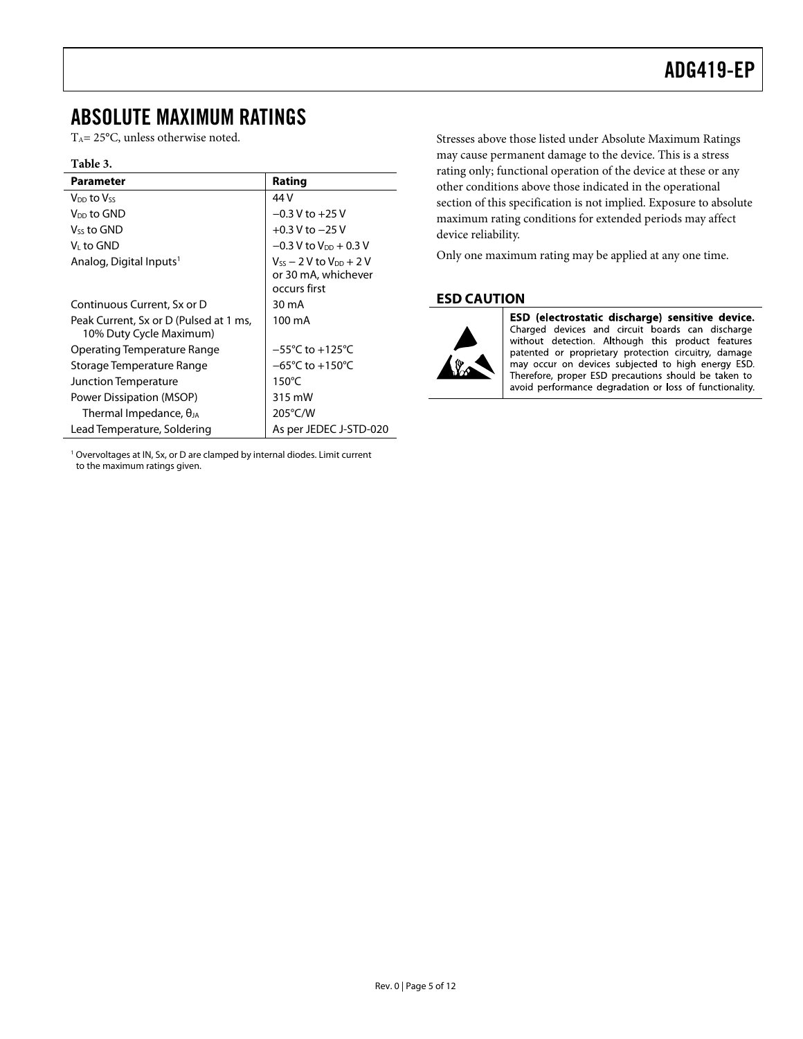### <span id="page-4-0"></span>ABSOLUTE MAXIMUM RATINGS

T<sub>A</sub>= 25°C, unless otherwise noted.

#### **Table 3.**

| <b>Parameter</b>                                                  | Rating                                                                  |
|-------------------------------------------------------------------|-------------------------------------------------------------------------|
| Von to Vss                                                        | 44 V                                                                    |
| V <sub>DD</sub> to GND                                            | $-0.3$ V to $+25$ V                                                     |
| V <sub>ss</sub> to GND                                            | $+0.3$ V to $-25$ V                                                     |
| V∟to GND                                                          | $-0.3$ V to V <sub>DD</sub> + 0.3 V                                     |
| Analog, Digital Inputs <sup>1</sup>                               | $V_{ss}$ – 2 V to $V_{DD}$ + 2 V<br>or 30 mA, whichever<br>occurs first |
| Continuous Current, Sx or D                                       | 30 mA                                                                   |
| Peak Current, Sx or D (Pulsed at 1 ms,<br>10% Duty Cycle Maximum) | 100 mA                                                                  |
| Operating Temperature Range                                       | $-55^{\circ}$ C to $+125^{\circ}$ C                                     |
| Storage Temperature Range                                         | $-65^{\circ}$ C to $+150^{\circ}$ C                                     |
| Junction Temperature                                              | $150^{\circ}$ C                                                         |
| Power Dissipation (MSOP)                                          | 315 mW                                                                  |
| Thermal Impedance, $\theta_{JA}$                                  | $205^{\circ}$ C/W                                                       |
| Lead Temperature, Soldering                                       | As per JEDEC J-STD-020                                                  |

<sup>1</sup> Overvoltages at IN, Sx, or D are clamped by internal diodes. Limit current to the maximum ratings given.

Stresses above those listed under Absolute Maximum Ratings may cause permanent damage to the device. This is a stress rating only; functional operation of the device at these or any other conditions above those indicated in the operational section of this specification is not implied. Exposure to absolute maximum rating conditions for extended periods may affect device reliability.

Only one maximum rating may be applied at any one time.

#### **ESD CAUTION**



ESD (electrostatic discharge) sensitive device. Charged devices and circuit boards can discharge without detection. Although this product features patented or proprietary protection circuitry, damage may occur on devices subjected to high energy ESD. Therefore, proper ESD precautions should be taken to avoid performance degradation or loss of functionality.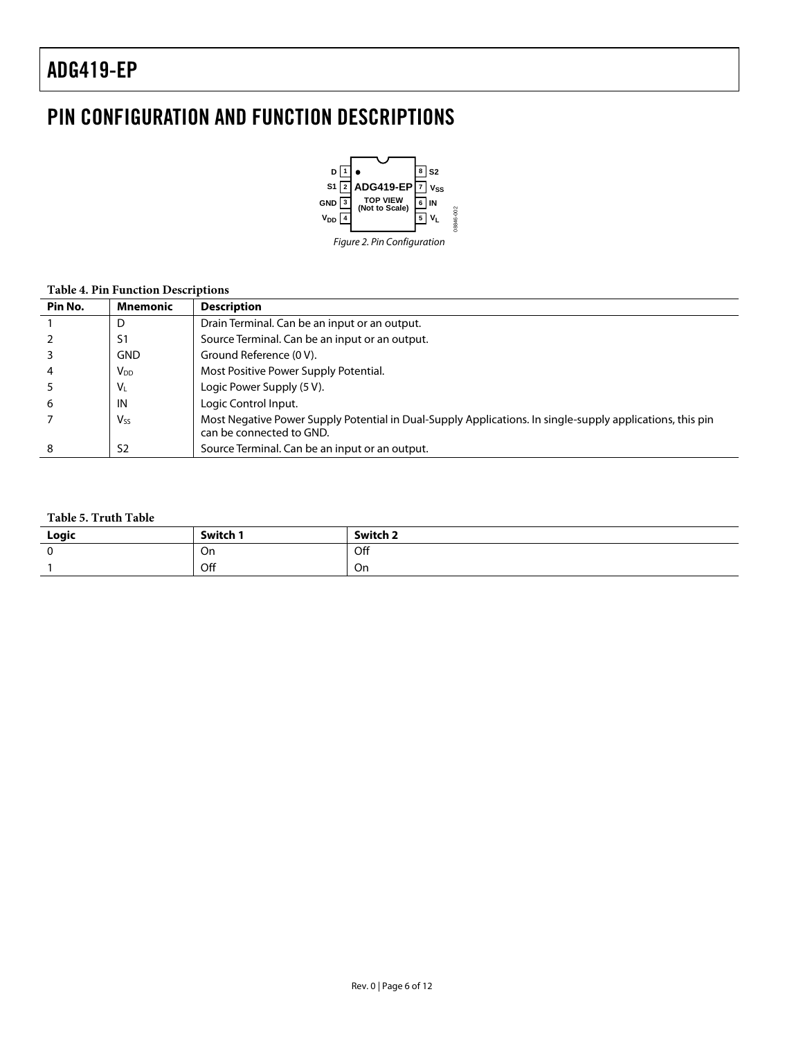### <span id="page-5-0"></span>PIN CONFIGURATION AND FUNCTION DESCRIPTIONS



#### **Table 4. Pin Function Descriptions**

| Pin No. | <b>Mnemonic</b>       | <b>Description</b>                                                                                                                    |
|---------|-----------------------|---------------------------------------------------------------------------------------------------------------------------------------|
|         | D                     | Drain Terminal. Can be an input or an output.                                                                                         |
|         | S1                    | Source Terminal. Can be an input or an output.                                                                                        |
|         | <b>GND</b>            | Ground Reference (0 V).                                                                                                               |
| 4       | V <sub>DD</sub>       | Most Positive Power Supply Potential.                                                                                                 |
|         | $V_{L}$               | Logic Power Supply (5 V).                                                                                                             |
| 6       | IN                    | Logic Control Input.                                                                                                                  |
|         | <b>V<sub>ss</sub></b> | Most Negative Power Supply Potential in Dual-Supply Applications. In single-supply applications, this pin<br>can be connected to GND. |
| 8       | S <sub>2</sub>        | Source Terminal. Can be an input or an output.                                                                                        |

#### **Table 5. Truth Table**

| Logic | Switch " | Switch 2 |
|-------|----------|----------|
|       | On       | Off      |
|       | Off      | On       |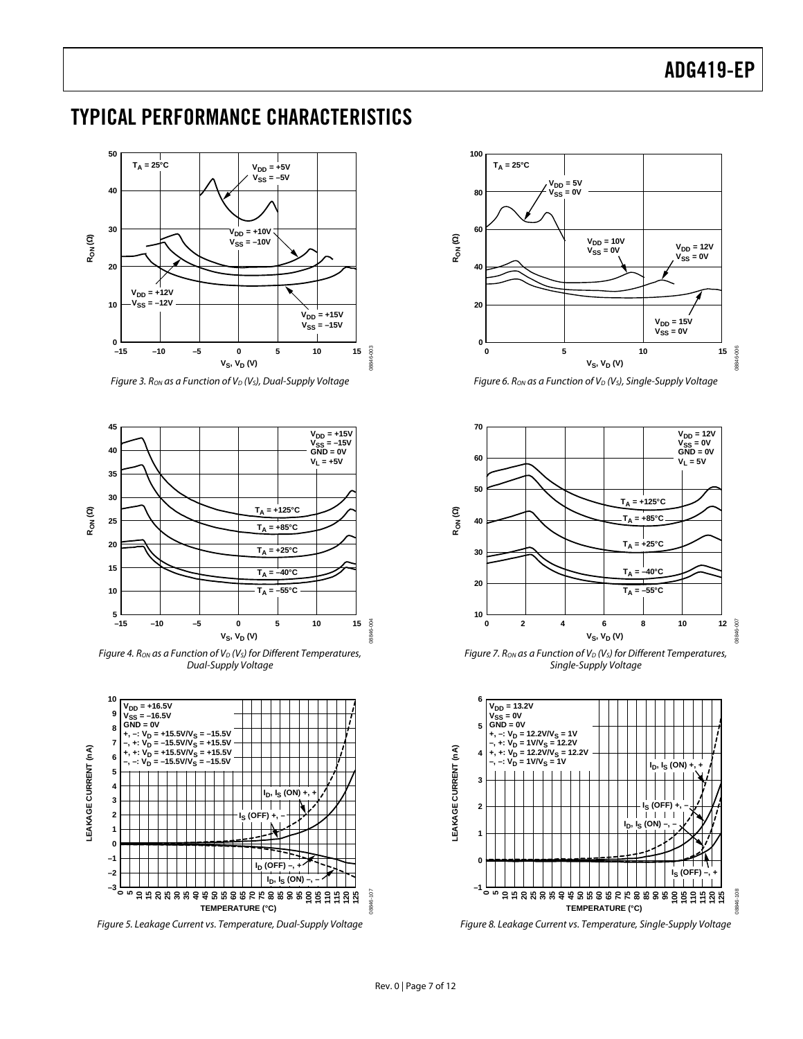### <span id="page-6-0"></span>TYPICAL PERFORMANCE CHARACTERISTICS



Figure 3. Ron as a Function of  $V_D$  (Vs), Dual-Supply Voltage



Figure 4. R<sub>ON</sub> as a Function of  $V_D$  ( $V_S$ ) for Different Temperatures, Dual-Supply Voltage



Figure 5. Leakage Current vs. Temperature, Dual-Supply Voltage



Figure 6. Ron as a Function of  $V_D$  (Vs), Single-Supply Voltage



Figure 7. Ron as a Function of  $V_D$  (V<sub>S</sub>) for Different Temperatures, Single-Supply Voltage



Figure 8. Leakage Current vs. Temperature, Single-Supply Voltage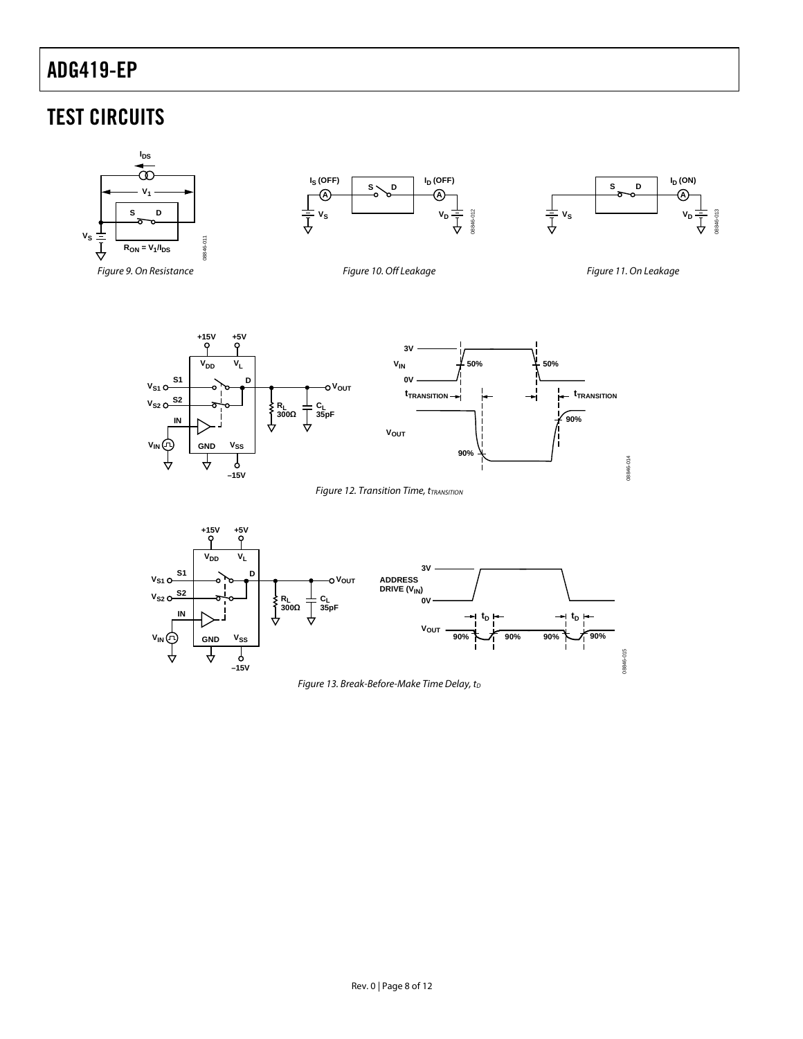### <span id="page-7-0"></span>TEST CIRCUITS

<span id="page-7-3"></span><span id="page-7-2"></span><span id="page-7-1"></span>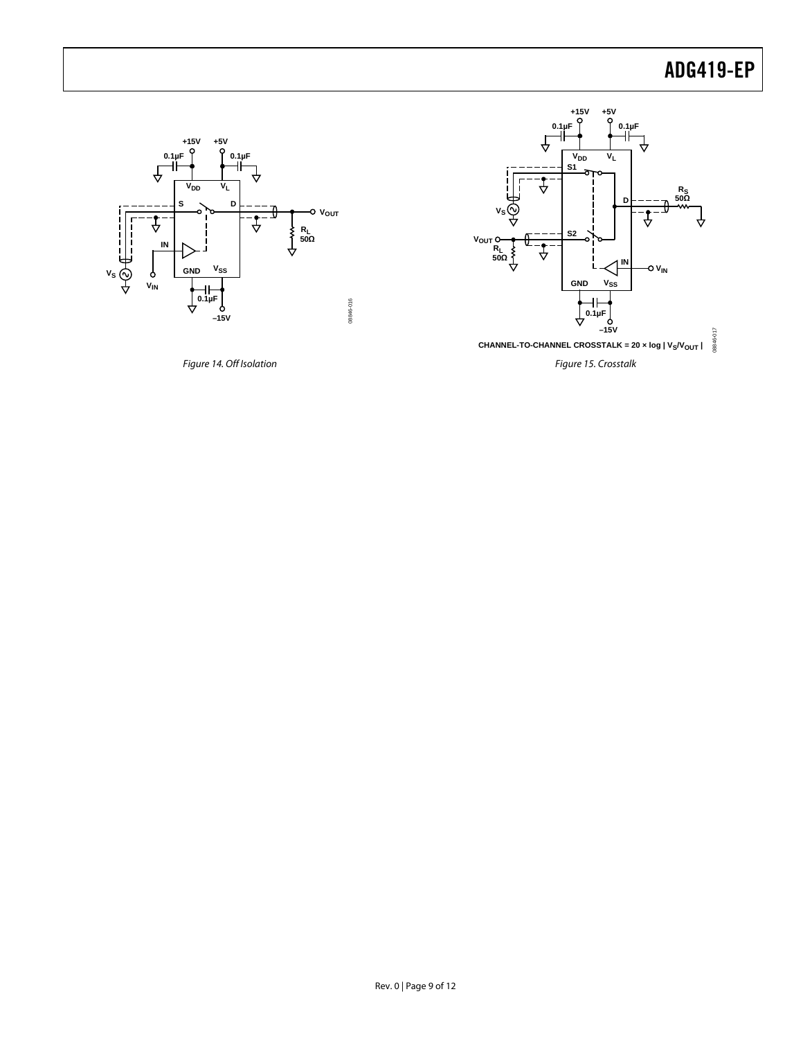

<span id="page-8-0"></span>



Rev. 0 | Page 9 of 12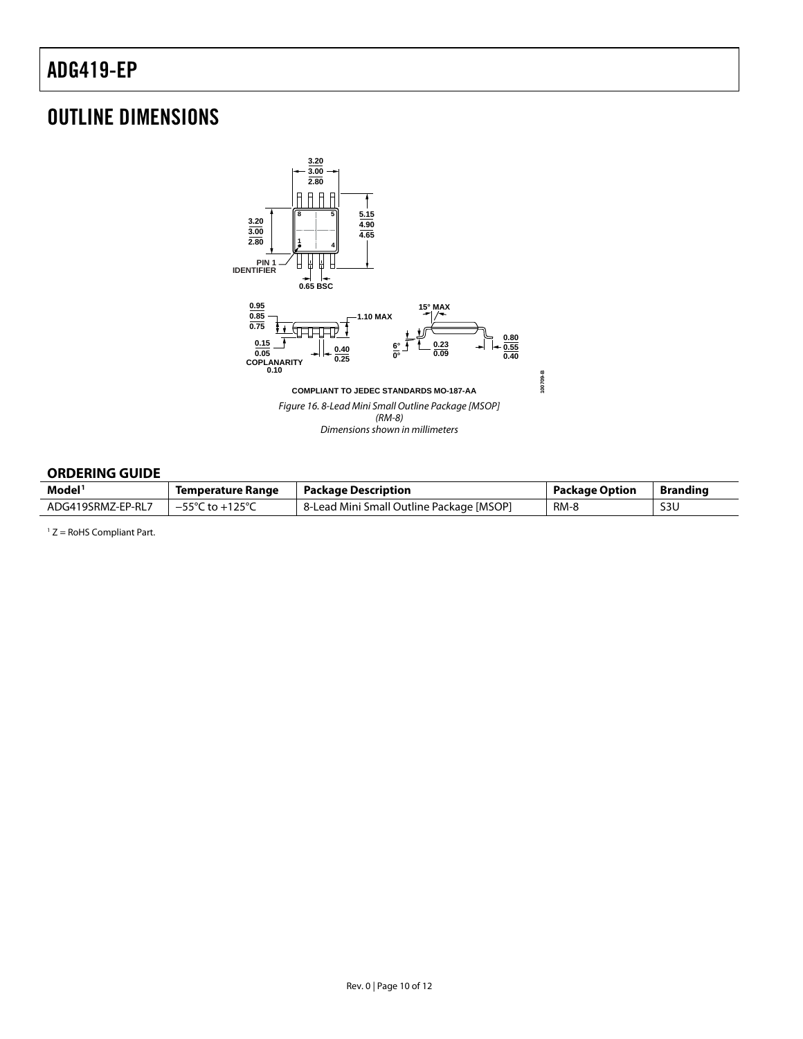### <span id="page-9-0"></span>OUTLINE DIMENSIONS



#### **ORDERING GUIDE**

| Model <sup>1</sup> | Temperature Range                   | <b>Package Description</b>               | Package Option | <b>Branding</b> |
|--------------------|-------------------------------------|------------------------------------------|----------------|-----------------|
| ADG419SRMZ-EP-RL7  | $-55^{\circ}$ C to $+125^{\circ}$ C | 8-Lead Mini Small Outline Package [MSOP] | RM-8           | S3U             |

 $1 Z =$  RoHS Compliant Part.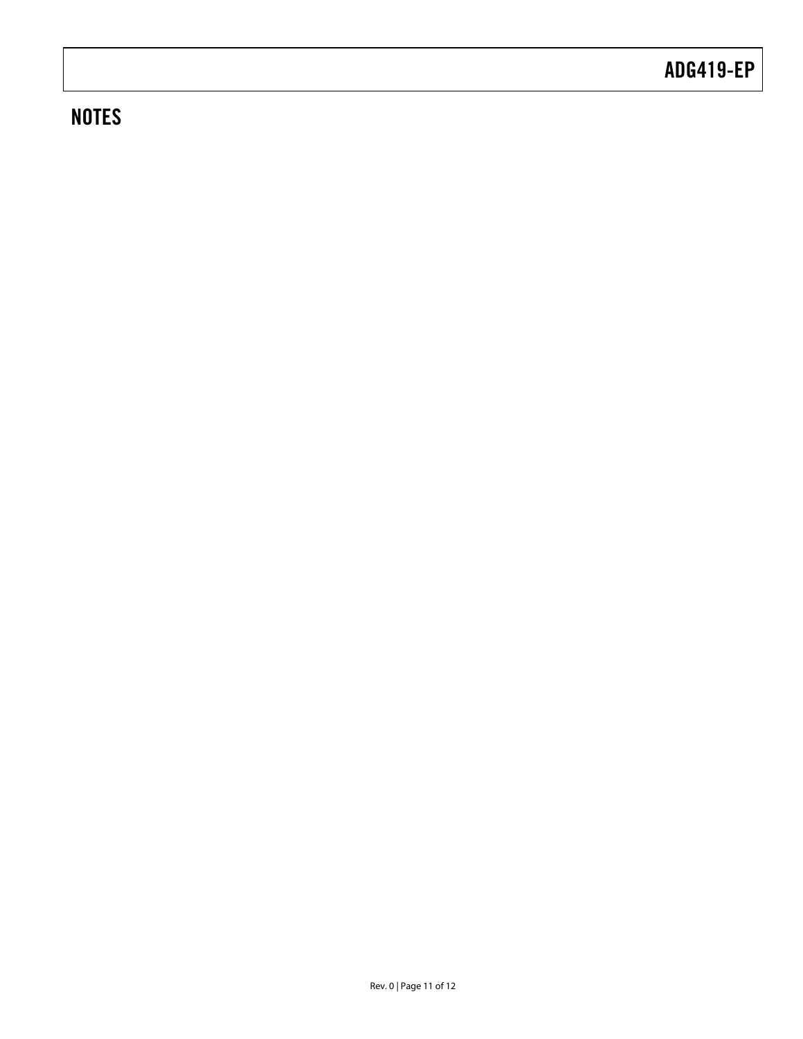### **NOTES**